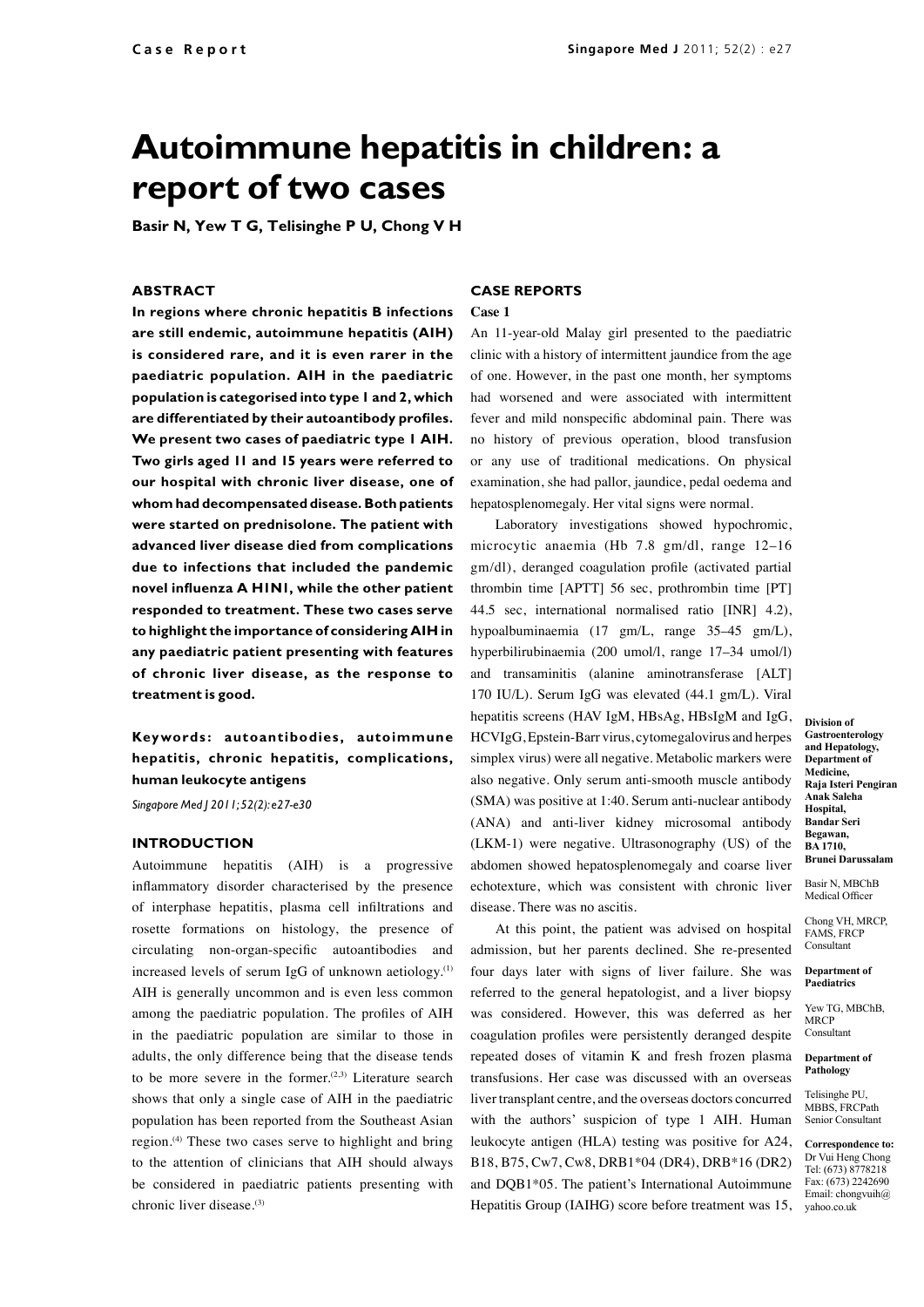# **Autoimmune hepatitis in children: a report of two cases**

**Basir N, Yew T G, Telisinghe P U, Chong V H**

### **ABSTRACT**

**In regions where chronic hepatitis B infections are still endemic, autoimmune hepatitis (AIH) is considered rare, and it is even rarer in the paediatric population. AIH in the paediatric population is categorised into type 1 and 2, which are differentiated by their autoantibody profiles. We present two cases of paediatric type 1 AIH. Two girls aged 11 and 15 years were referred to our hospital with chronic liver disease, one of whom had decompensated disease. Both patients were started on prednisolone. The patient with advanced liver disease died from complications due to infections that included the pandemic novel influenza A H1N1, while the other patient responded to treatment. These two cases serve to highlight the importance of considering AIH in any paediatric patient presenting with features of chronic liver disease, as the response to treatment is good.** 

## **Keywords : autoantibodies, autoimmune hepatitis, chronic hepatitis, complications, human leukocyte antigens**

*Singapore Med J 2011; 52(2): e27-e30*

## **INTRODUCTION**

Autoimmune hepatitis (AIH) is a progressive inflammatory disorder characterised by the presence of interphase hepatitis, plasma cell infiltrations and rosette formations on histology, the presence of circulating non-organ-specific autoantibodies and increased levels of serum IgG of unknown aetiology. $(1)$ AIH is generally uncommon and is even less common among the paediatric population. The profiles of AIH in the paediatric population are similar to those in adults, the only difference being that the disease tends to be more severe in the former. $(2,3)$  Literature search shows that only a single case of AIH in the paediatric population has been reported from the Southeast Asian region.(4) These two cases serve to highlight and bring to the attention of clinicians that AIH should always be considered in paediatric patients presenting with chronic liver disease.<sup>(3)</sup>

## **CASE REPORTS**

#### **Case 1**

An 11-year-old Malay girl presented to the paediatric clinic with a history of intermittent jaundice from the age of one. However, in the past one month, her symptoms had worsened and were associated with intermittent fever and mild nonspecific abdominal pain. There was no history of previous operation, blood transfusion or any use of traditional medications. On physical examination, she had pallor, jaundice, pedal oedema and hepatosplenomegaly. Her vital signs were normal.

Laboratory investigations showed hypochromic, microcytic anaemia (Hb 7.8 gm/dl, range 12–16 gm/dl), deranged coagulation profile (activated partial thrombin time [APTT] 56 sec, prothrombin time [PT] 44.5 sec, international normalised ratio [INR] 4.2), hypoalbuminaemia (17 gm/L, range 35–45 gm/L), hyperbilirubinaemia (200 umol/l, range 17–34 umol/l) and transaminitis (alanine aminotransferase [ALT] 170 IU/L). Serum IgG was elevated (44.1 gm/L). Viral hepatitis screens (HAV IgM, HBsAg, HBsIgM and IgG, HCVIgG, Epstein-Barr virus, cytomegalovirus and herpes simplex virus) were all negative. Metabolic markers were also negative. Only serum anti-smooth muscle antibody (SMA) was positive at 1:40. Serum anti-nuclear antibody (ANA) and anti-liver kidney microsomal antibody (LKM-1) were negative. Ultrasonography (US) of the abdomen showed hepatosplenomegaly and coarse liver echotexture, which was consistent with chronic liver disease. There was no ascitis.

Hepatitis Group (IAIHG) score before treatment was 15, yahoo.co.uk At this point, the patient was advised on hospital admission, but her parents declined. She re-presented four days later with signs of liver failure. She was referred to the general hepatologist, and a liver biopsy was considered. However, this was deferred as her coagulation profiles were persistently deranged despite repeated doses of vitamin K and fresh frozen plasma transfusions. Her case was discussed with an overseas liver transplant centre, and the overseas doctors concurred with the authors' suspicion of type 1 AIH. Human leukocyte antigen (HLA) testing was positive for A24, B18, B75, Cw7, Cw8, DRB1\*04 (DR4), DRB\*16 (DR2) and DQB1\*05. The patient's International Autoimmune

**Division of Gastroenterology and Hepatology, Department of Medicine, Raja Isteri Pengiran Anak Saleha Hospital, Bandar Seri Begawan, BA 1710, Brunei Darussalam**

Basir N, MBChB Medical Officer

Chong VH, MRCP, FAMS, FRCP Consultant

**Department of Paediatrics**

Yew TG, MBChB **MRCP** Consultant

#### **Department of Pathology**

Telisinghe PU, MBBS, FRCPath Senior Consultant

**Correspondence to:**  Dr Vui Heng Chong Tel: (673) 8778218 Fax: (673) 2242690 Email: chongvuih@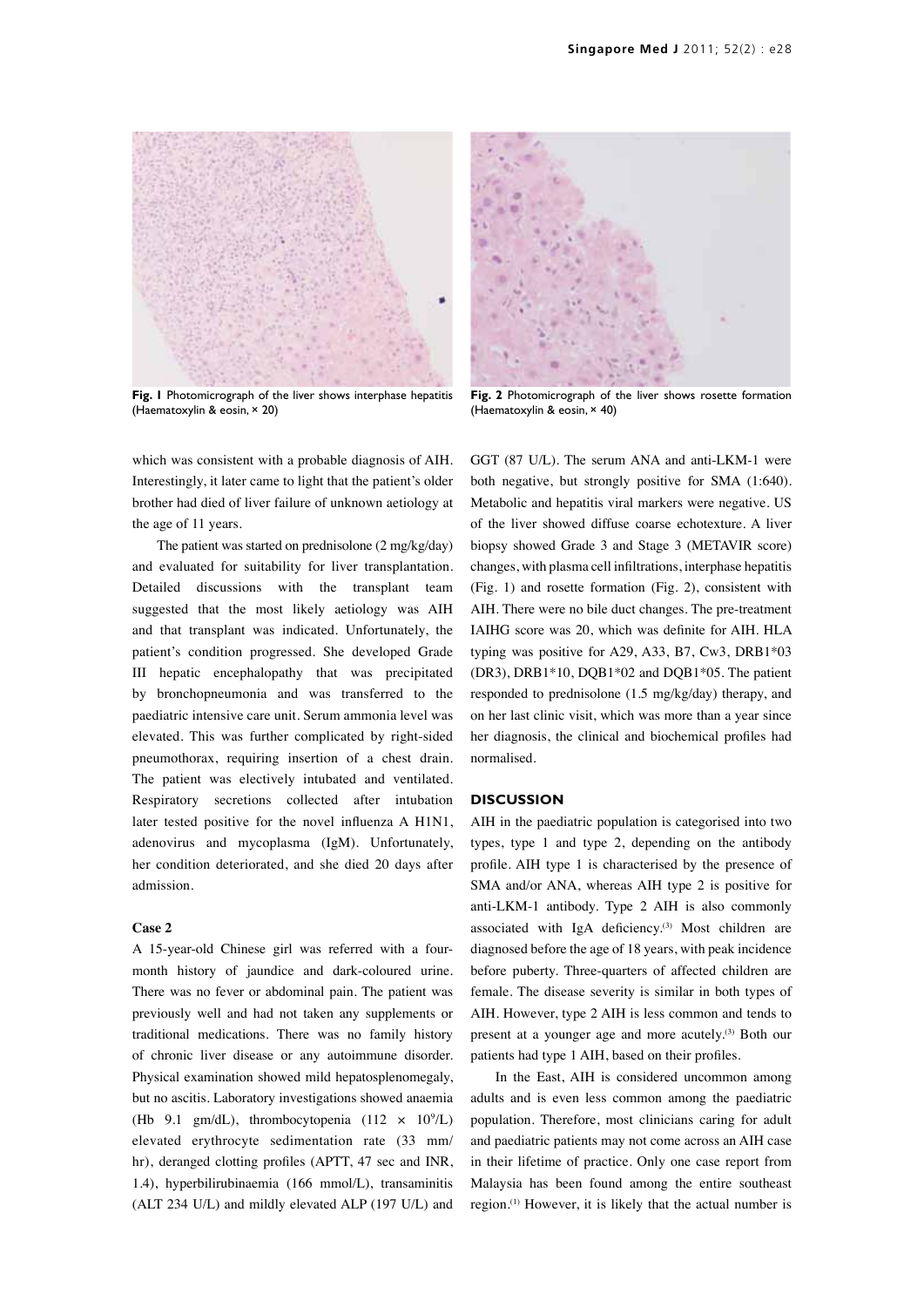

**Fig. 1** Photomicrograph of the liver shows interphase hepatitis (Haematoxylin & eosin, × 20)

which was consistent with a probable diagnosis of AIH. Interestingly, it later came to light that the patient's older brother had died of liver failure of unknown aetiology at the age of 11 years.

The patient was started on prednisolone (2 mg/kg/day) and evaluated for suitability for liver transplantation. Detailed discussions with the transplant team suggested that the most likely aetiology was AIH and that transplant was indicated. Unfortunately, the patient's condition progressed. She developed Grade III hepatic encephalopathy that was precipitated by bronchopneumonia and was transferred to the paediatric intensive care unit. Serum ammonia level was elevated. This was further complicated by right-sided pneumothorax, requiring insertion of a chest drain. The patient was electively intubated and ventilated. Respiratory secretions collected after intubation later tested positive for the novel influenza A H1N1, adenovirus and mycoplasma (IgM). Unfortunately, her condition deteriorated, and she died 20 days after admission.

## **Case 2**

A 15-year-old Chinese girl was referred with a fourmonth history of jaundice and dark-coloured urine. There was no fever or abdominal pain. The patient was previously well and had not taken any supplements or traditional medications. There was no family history of chronic liver disease or any autoimmune disorder. Physical examination showed mild hepatosplenomegaly, but no ascitis. Laboratory investigations showed anaemia (Hb 9.1 gm/dL), thrombocytopenia  $(112 \times 10^9/\text{L})$ elevated erythrocyte sedimentation rate (33 mm/ hr), deranged clotting profiles (APTT, 47 sec and INR, 1.4), hyperbilirubinaemia (166 mmol/L), transaminitis (ALT 234 U/L) and mildly elevated ALP (197 U/L) and



**Fig. 2** Photomicrograph of the liver shows rosette formation (Haematoxylin & eosin, × 40)

GGT (87 U/L). The serum ANA and anti-LKM-1 were both negative, but strongly positive for SMA (1:640). Metabolic and hepatitis viral markers were negative. US of the liver showed diffuse coarse echotexture. A liver biopsy showed Grade 3 and Stage 3 (METAVIR score) changes, with plasma cell infiltrations, interphase hepatitis (Fig. 1) and rosette formation (Fig. 2), consistent with AIH. There were no bile duct changes. The pre-treatment IAIHG score was 20, which was definite for AIH. HLA typing was positive for A29, A33, B7, Cw3, DRB1\*03 (DR3), DRB1\*10, DQB1\*02 and DQB1\*05. The patient responded to prednisolone (1.5 mg/kg/day) therapy, and on her last clinic visit, which was more than a year since her diagnosis, the clinical and biochemical profiles had normalised.

## **DISCUSSION**

AIH in the paediatric population is categorised into two types, type 1 and type 2, depending on the antibody profile. AIH type 1 is characterised by the presence of SMA and/or ANA, whereas AIH type 2 is positive for anti-LKM-1 antibody. Type 2 AIH is also commonly associated with IgA deficiency. $(3)$  Most children are diagnosed before the age of 18 years, with peak incidence before puberty. Three-quarters of affected children are female. The disease severity is similar in both types of AIH. However, type 2 AIH is less common and tends to present at a younger age and more acutely.<sup>(3)</sup> Both our patients had type 1 AIH, based on their profiles.

In the East, AIH is considered uncommon among adults and is even less common among the paediatric population. Therefore, most clinicians caring for adult and paediatric patients may not come across an AIH case in their lifetime of practice. Only one case report from Malaysia has been found among the entire southeast region.(1) However, it is likely that the actual number is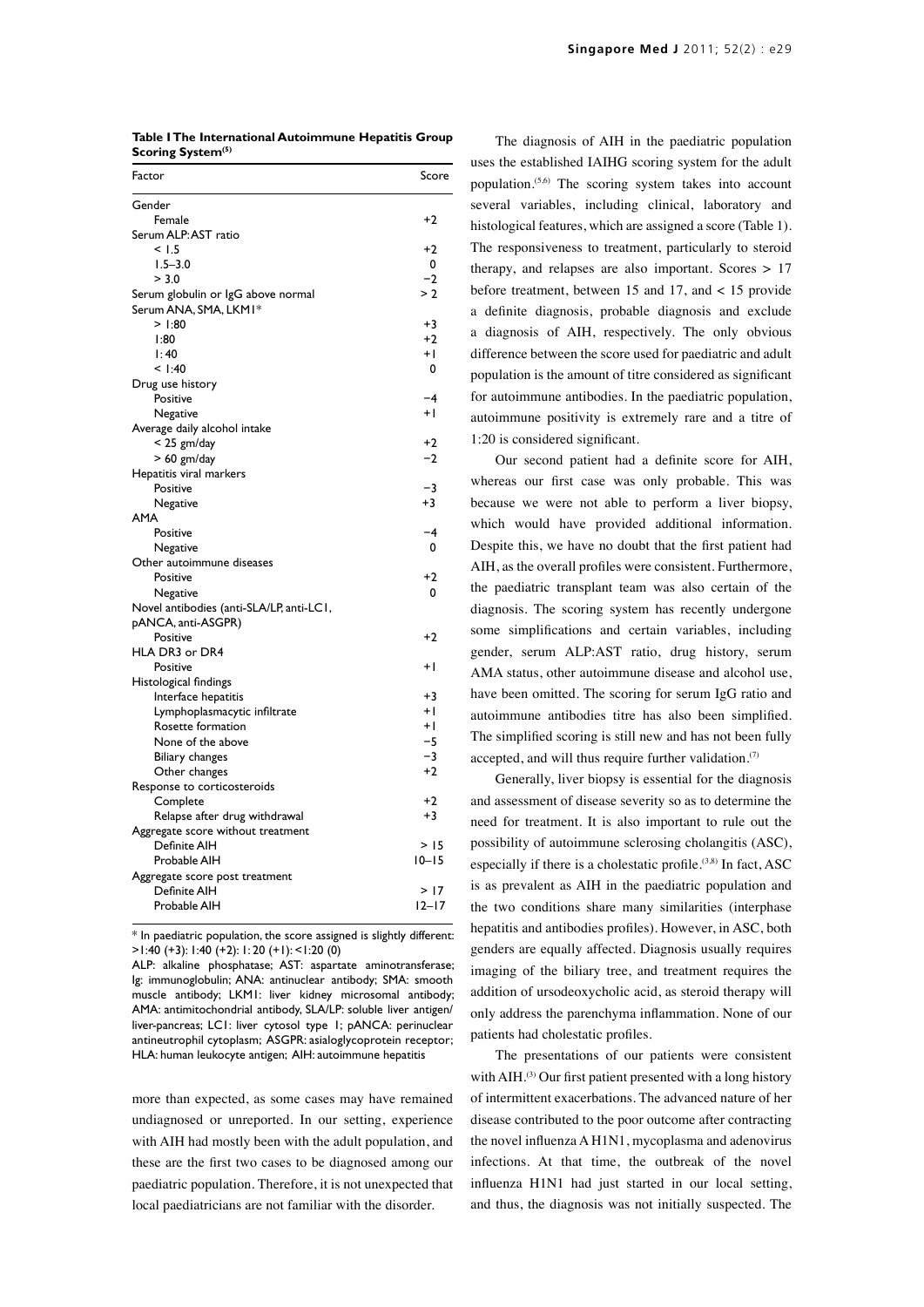|                               | Table I The International Autoimmune Hepatitis Group |  |
|-------------------------------|------------------------------------------------------|--|
| Scoring System <sup>(5)</sup> |                                                      |  |

| Factor                                   | Score     |  |
|------------------------------------------|-----------|--|
| Gender                                   |           |  |
| Female                                   | +2        |  |
| Serum ALP: AST ratio                     |           |  |
| < 1.5                                    | +2        |  |
| $1.5 - 3.0$                              | 0         |  |
| > 3.0                                    | $-2$      |  |
| Serum globulin or IgG above normal       | > 2       |  |
| Serum ANA, SMA, LKM1*                    |           |  |
| > 1:80                                   | $+3$      |  |
| 1:80                                     | $+2$      |  |
| 1:40                                     | $+1$      |  |
| < 1:40                                   | 0         |  |
| Drug use history                         |           |  |
| Positive                                 | $-4$      |  |
| Negative                                 | $+1$      |  |
| Average daily alcohol intake             |           |  |
| $< 25$ gm/day                            | $+2$      |  |
| > 60 gm/day                              | $-2$      |  |
| Hepatitis viral markers                  |           |  |
| Positive                                 | $-3$      |  |
| Negative                                 | $+3$      |  |
| AMA                                      |           |  |
| Positive                                 | $-4$      |  |
| Negative                                 | 0         |  |
| Other autoimmune diseases                |           |  |
| Positive                                 | $+2$      |  |
| Negative                                 | 0         |  |
| Novel antibodies (anti-SLA/LP, anti-LC1, |           |  |
| pANCA, anti-ASGPR)                       |           |  |
| Positive                                 | $+2$      |  |
| HLA DR3 or DR4                           |           |  |
| Positive                                 | $+1$      |  |
| Histological findings                    |           |  |
| Interface hepatitis                      | $+3$      |  |
| Lymphoplasmacytic infiltrate             | $+1$      |  |
| Rosette formation                        | $+1$      |  |
| None of the above                        | $-5$      |  |
| <b>Biliary changes</b>                   | $-3$      |  |
| Other changes                            | $+2$      |  |
| Response to corticosteroids              |           |  |
| Complete                                 | $+2$      |  |
| Relapse after drug withdrawal            | $+3$      |  |
| Aggregate score without treatment        |           |  |
| Definite AIH                             | > 15      |  |
| Probable AIH                             | $10 - 15$ |  |
| Aggregate score post treatment           |           |  |
| Definite AIH                             | >17       |  |
| Probable AIH                             | $12 - 17$ |  |
|                                          |           |  |

\* In paediatric population, the score assigned is slightly different: >1:40 (+3): 1:40 (+2): 1: 20 (+1): <1:20 (0)

ALP: alkaline phosphatase; AST: aspartate aminotransferase; Ig: immunoglobulin; ANA: antinuclear antibody; SMA: smooth muscle antibody; LKM1: liver kidney microsomal antibody; AMA: antimitochondrial antibody, SLA/LP: soluble liver antigen/ liver-pancreas; LC1: liver cytosol type 1; pANCA: perinuclear antineutrophil cytoplasm; ASGPR: asialoglycoprotein receptor; HLA: human leukocyte antigen; AIH: autoimmune hepatitis

more than expected, as some cases may have remained undiagnosed or unreported. In our setting, experience with AIH had mostly been with the adult population, and these are the first two cases to be diagnosed among our paediatric population. Therefore, it is not unexpected that local paediatricians are not familiar with the disorder.

The diagnosis of AIH in the paediatric population uses the established IAIHG scoring system for the adult population.(5,6) The scoring system takes into account several variables, including clinical, laboratory and histological features, which are assigned a score (Table 1). The responsiveness to treatment, particularly to steroid therapy, and relapses are also important. Scores > 17 before treatment, between 15 and 17, and < 15 provide a definite diagnosis, probable diagnosis and exclude a diagnosis of AIH, respectively. The only obvious difference between the score used for paediatric and adult population is the amount of titre considered as significant for autoimmune antibodies. In the paediatric population, autoimmune positivity is extremely rare and a titre of 1:20 is considered significant.

Our second patient had a definite score for AIH, whereas our first case was only probable. This was because we were not able to perform a liver biopsy, which would have provided additional information. Despite this, we have no doubt that the first patient had AIH, as the overall profiles were consistent. Furthermore, the paediatric transplant team was also certain of the diagnosis. The scoring system has recently undergone some simplifications and certain variables, including gender, serum ALP:AST ratio, drug history, serum AMA status, other autoimmune disease and alcohol use, have been omitted. The scoring for serum IgG ratio and autoimmune antibodies titre has also been simplified. The simplified scoring is still new and has not been fully accepted, and will thus require further validation.<sup>(7)</sup>

Generally, liver biopsy is essential for the diagnosis and assessment of disease severity so as to determine the need for treatment. It is also important to rule out the possibility of autoimmune sclerosing cholangitis (ASC), especially if there is a cholestatic profile.<sup>(3,8)</sup> In fact, ASC is as prevalent as AIH in the paediatric population and the two conditions share many similarities (interphase hepatitis and antibodies profiles). However, in ASC, both genders are equally affected. Diagnosis usually requires imaging of the biliary tree, and treatment requires the addition of ursodeoxycholic acid, as steroid therapy will only address the parenchyma inflammation. None of our patients had cholestatic profiles.

The presentations of our patients were consistent with AIH.<sup>(3)</sup> Our first patient presented with a long history of intermittent exacerbations. The advanced nature of her disease contributed to the poor outcome after contracting the novel influenza A H1N1, mycoplasma and adenovirus infections. At that time, the outbreak of the novel influenza H1N1 had just started in our local setting, and thus, the diagnosis was not initially suspected. The